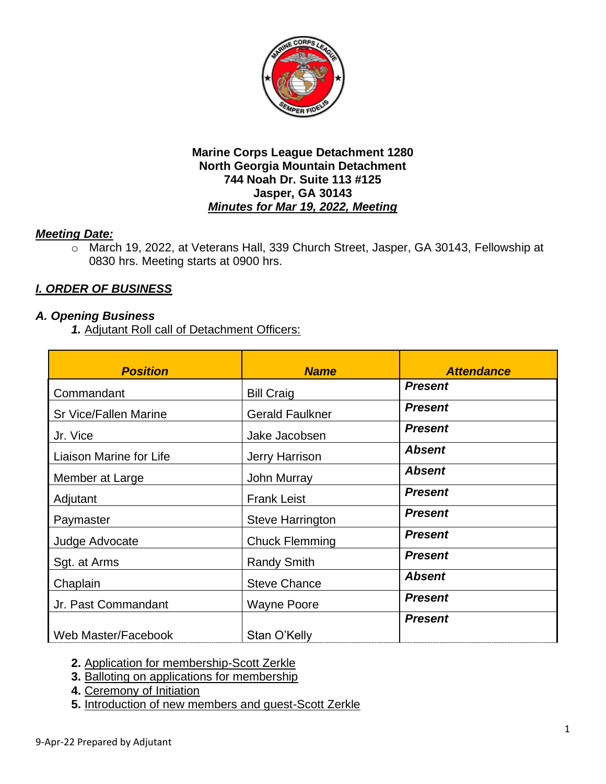

# *Meeting Date:*

o March 19, 2022, at Veterans Hall, 339 Church Street, Jasper, GA 30143, Fellowship at 0830 hrs. Meeting starts at 0900 hrs.

# *I. ORDER OF BUSINESS*

### *A. Opening Business*

*1.* Adjutant Roll call of Detachment Officers:

| <b>Position</b>              | <b>Name</b>             | <b>Attendance</b> |
|------------------------------|-------------------------|-------------------|
| Commandant                   | <b>Bill Craig</b>       | <b>Present</b>    |
| <b>Sr Vice/Fallen Marine</b> | <b>Gerald Faulkner</b>  | <b>Present</b>    |
| Jr. Vice                     | Jake Jacobsen           | <b>Present</b>    |
| Liaison Marine for Life      | Jerry Harrison          | <b>Absent</b>     |
| Member at Large              | John Murray             | <b>Absent</b>     |
| Adjutant                     | <b>Frank Leist</b>      | <b>Present</b>    |
| Paymaster                    | <b>Steve Harrington</b> | <b>Present</b>    |
| Judge Advocate               | <b>Chuck Flemming</b>   | <b>Present</b>    |
| Sgt. at Arms                 | <b>Randy Smith</b>      | <b>Present</b>    |
| Chaplain                     | <b>Steve Chance</b>     | <b>Absent</b>     |
| Jr. Past Commandant          | <b>Wayne Poore</b>      | <b>Present</b>    |
| Web Master/Facebook          | Stan O'Kelly            | <b>Present</b>    |

- **2.** Application for membership-Scott Zerkle
- **3.** Balloting on applications for membership
- **4.** Ceremony of Initiation
- **5.** Introduction of new members and guest-Scott Zerkle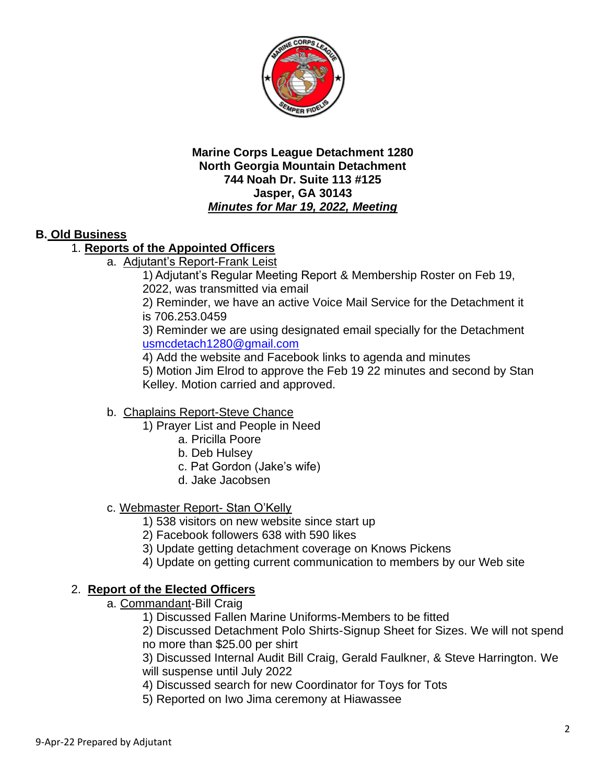

# **B. Old Business**

# 1. **Reports of the Appointed Officers**

a. Adjutant's Report-Frank Leist

1) Adjutant's Regular Meeting Report & Membership Roster on Feb 19, 2022, was transmitted via email

2) Reminder, we have an active Voice Mail Service for the Detachment it is 706.253.0459

3) Reminder we are using designated email specially for the Detachment [usmcdetach1280@gmail.com](mailto:usmcdetach1280@gmail.com)

4) Add the website and Facebook links to agenda and minutes

5) Motion Jim Elrod to approve the Feb 19 22 minutes and second by Stan Kelley. Motion carried and approved.

### b. Chaplains Report-Steve Chance

- 1) Prayer List and People in Need
	- a. Pricilla Poore
	- b. Deb Hulsey
	- c. Pat Gordon (Jake's wife)
	- d. Jake Jacobsen

### c. Webmaster Report- Stan O'Kelly

- 1) 538 visitors on new website since start up
- 2) Facebook followers 638 with 590 likes
- 3) Update getting detachment coverage on Knows Pickens
- 4) Update on getting current communication to members by our Web site

### 2. **Report of the Elected Officers**

- a. Commandant-Bill Craig
	- 1) Discussed Fallen Marine Uniforms-Members to be fitted

2) Discussed Detachment Polo Shirts-Signup Sheet for Sizes. We will not spend no more than \$25.00 per shirt

3) Discussed Internal Audit Bill Craig, Gerald Faulkner, & Steve Harrington. We will suspense until July 2022

- 4) Discussed search for new Coordinator for Toys for Tots
- 5) Reported on Iwo Jima ceremony at Hiawassee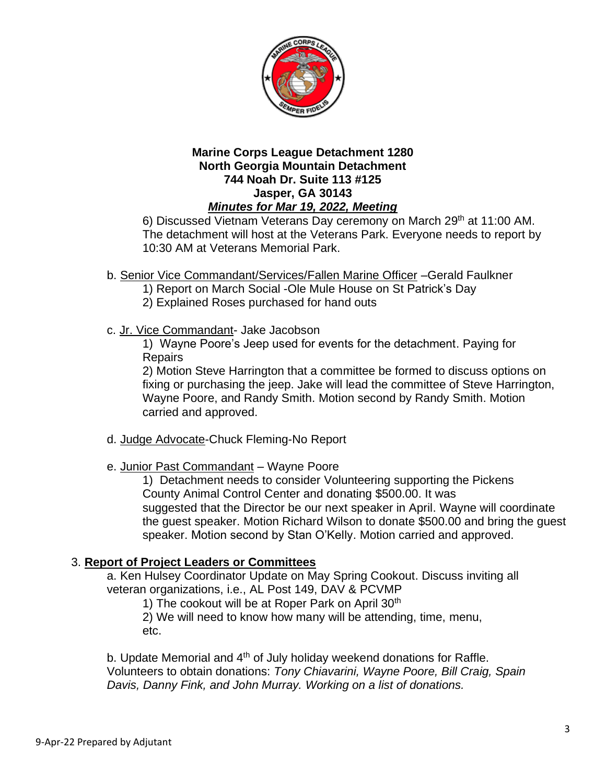

6) Discussed Vietnam Veterans Day ceremony on March 29th at 11:00 AM. The detachment will host at the Veterans Park. Everyone needs to report by 10:30 AM at Veterans Memorial Park.

- b. Senior Vice Commandant/Services/Fallen Marine Officer –Gerald Faulkner
	- 1) Report on March Social -Ole Mule House on St Patrick's Day
	- 2) Explained Roses purchased for hand outs
- c. Jr. Vice Commandant- Jake Jacobson

1) Wayne Poore's Jeep used for events for the detachment. Paying for **Repairs** 

2) Motion Steve Harrington that a committee be formed to discuss options on fixing or purchasing the jeep. Jake will lead the committee of Steve Harrington, Wayne Poore, and Randy Smith. Motion second by Randy Smith. Motion carried and approved.

- d. Judge Advocate-Chuck Fleming-No Report
- e. Junior Past Commandant Wayne Poore

1) Detachment needs to consider Volunteering supporting the Pickens County Animal Control Center and donating \$500.00. It was suggested that the Director be our next speaker in April. Wayne will coordinate the guest speaker. Motion Richard Wilson to donate \$500.00 and bring the guest speaker. Motion second by Stan O'Kelly. Motion carried and approved.

### 3. **Report of Project Leaders or Committees**

a. Ken Hulsey Coordinator Update on May Spring Cookout. Discuss inviting all veteran organizations, i.e., AL Post 149, DAV & PCVMP

1) The cookout will be at Roper Park on April 30<sup>th</sup>

2) We will need to know how many will be attending, time, menu, etc.

b. Update Memorial and 4<sup>th</sup> of July holiday weekend donations for Raffle. Volunteers to obtain donations: *Tony Chiavarini, Wayne Poore, Bill Craig, Spain Davis, Danny Fink, and John Murray. Working on a list of donations.*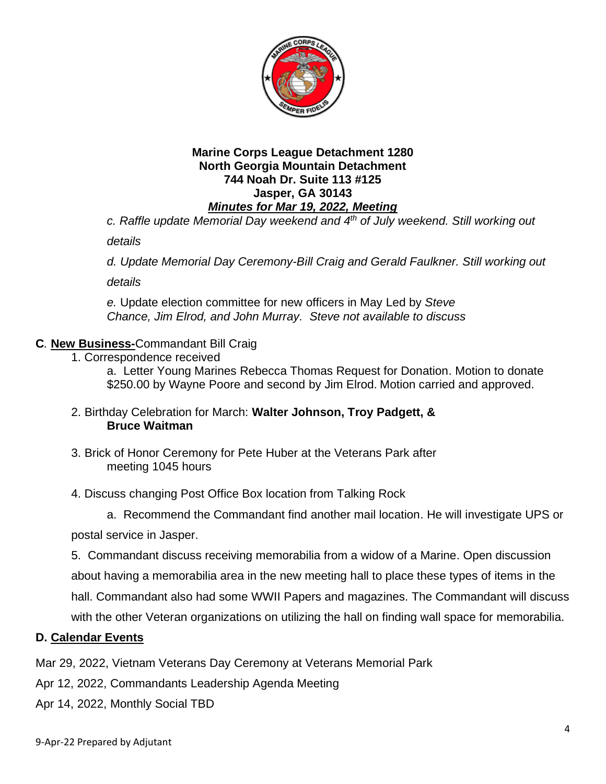

*c. Raffle update Memorial Day weekend and 4th of July weekend. Still working out* 

*details*

*d. Update Memorial Day Ceremony-Bill Craig and Gerald Faulkner. Still working out* 

*details*

*e.* Update election committee for new officers in May Led by *Steve Chance, Jim Elrod, and John Murray. Steve not available to discuss*

### **C***.* **New Business-**Commandant Bill Craig

1. Correspondence received

a. Letter Young Marines Rebecca Thomas Request for Donation. Motion to donate \$250.00 by Wayne Poore and second by Jim Elrod. Motion carried and approved.

- 2. Birthday Celebration for March: **Walter Johnson, Troy Padgett, & Bruce Waitman**
- 3. Brick of Honor Ceremony for Pete Huber at the Veterans Park after meeting 1045 hours
- 4. Discuss changing Post Office Box location from Talking Rock

a. Recommend the Commandant find another mail location. He will investigate UPS or

postal service in Jasper.

5. Commandant discuss receiving memorabilia from a widow of a Marine. Open discussion about having a memorabilia area in the new meeting hall to place these types of items in the hall. Commandant also had some WWII Papers and magazines. The Commandant will discuss with the other Veteran organizations on utilizing the hall on finding wall space for memorabilia.

#### **D. Calendar Events**

Mar 29, 2022, Vietnam Veterans Day Ceremony at Veterans Memorial Park

Apr 12, 2022, Commandants Leadership Agenda Meeting

Apr 14, 2022, Monthly Social TBD